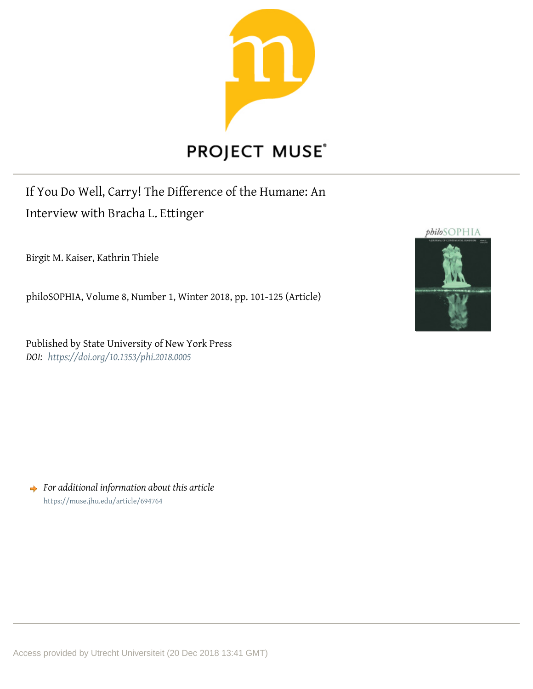

# **PROJECT MUSE®**

## If You Do Well, Carry! The Difference of the Humane: An Interview with Bracha L. Ettinger

Birgit M. Kaiser, Kathrin Thiele

philoSOPHIA, Volume 8, Number 1, Winter 2018, pp. 101-125 (Article)

Published by State University of New York Press *DOI: <https://doi.org/10.1353/phi.2018.0005>*



*For additional information about this article* <https://muse.jhu.edu/article/694764>

Access provided by Utrecht Universiteit (20 Dec 2018 13:41 GMT)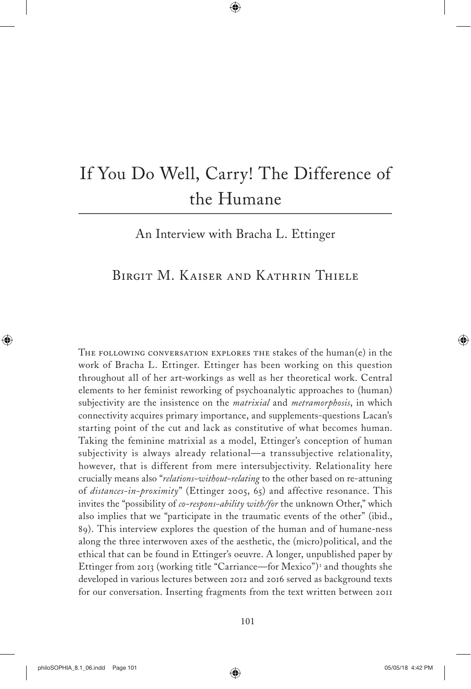# If You Do Well, Carry! The Difference of the Humane

An Interview with Bracha L. Ettinger

### Birgit M. Kaiser and Kathrin Thiele

The following conversation explores the stakes of the human(e) in the work of Bracha L. Ettinger. Ettinger has been working on this question throughout all of her art-workings as well as her theoretical work. Central elements to her feminist reworking of psychoanalytic approaches to (human) subjectivity are the insistence on the *matrixial* and *metramorphosis*, in which connectivity acquires primary importance, and supplements-questions Lacan's starting point of the cut and lack as constitutive of what becomes human. Taking the feminine matrixial as a model, Ettinger's conception of human subjectivity is always already relational—a transsubjective relationality, however, that is different from mere intersubjectivity. Relationality here crucially means also "*relations-without-relating* to the other based on re-attuning of *distances-in-proximity*" (Ettinger 2005, 65) and affective resonance. This invites the "possibility of *co-respons-ability with/for* the unknown Other," which also implies that we "participate in the traumatic events of the other" (ibid., 89). This interview explores the question of the human and of humane-ness along the three interwoven axes of the aesthetic, the (micro)political, and the ethical that can be found in Ettinger's oeuvre. A longer, unpublished paper by Ettinger from 2013 (working title "Carriance—for Mexico")<sup>1</sup> and thoughts she developed in various lectures between 2012 and 2016 served as background texts for our conversation. Inserting fragments from the text written between 2011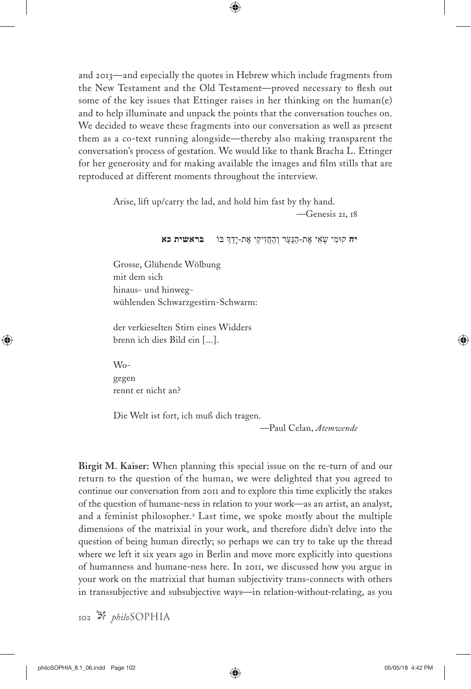and 2013—and especially the quotes in Hebrew which include fragments from the New Testament and the Old Testament—proved necessary to flesh out some of the key issues that Ettinger raises in her thinking on the human(e) and to help illuminate and unpack the points that the conversation touches on. We decided to weave these fragments into our conversation as well as present them as a co-text running alongside—thereby also making transparent the conversation's process of gestation. We would like to thank Bracha L. Ettinger for her generosity and for making available the images and film stills that are reproduced at different moments throughout the interview.

Arise, lift up/carry the lad, and hold him fast by thy hand.

—Genesis 21, 18

**יח** קּומִ י שְ ׂאִ י אֶ ת-הַנַּעַר וְ הַחֲזִיקִ י אֶ ת-יָדֵ ְך ּבֹו **בראשית כא**

Grosse, Glühende Wölbung mit dem sich hinaus- und hinwegwühlenden Schwarzgestirn-Schwarm:

der verkieselten Stirn eines Widders brenn ich dies Bild ein [...].

Wogegen rennt er nicht an?

Die Welt ist fort, ich muß dich tragen.

—Paul Celan, *Atemwende*

**Birgit M. Kaiser:** When planning this special issue on the re-turn of and our return to the question of the human, we were delighted that you agreed to continue our conversation from 2011 and to explore this time explicitly the stakes of the question of humane-ness in relation to your work—as an artist, an analyst, and a feminist philosopher.<sup>2</sup> Last time, we spoke mostly about the multiple dimensions of the matrixial in your work, and therefore didn't delve into the question of being human directly; so perhaps we can try to take up the thread where we left it six years ago in Berlin and move more explicitly into questions of humanness and humane-ness here. In 2011, we discussed how you argue in your work on the matrixial that human subjectivity trans-connects with others in transsubjective and subsubjective ways—in relation-without-relating, as you

102 *philo*Sophia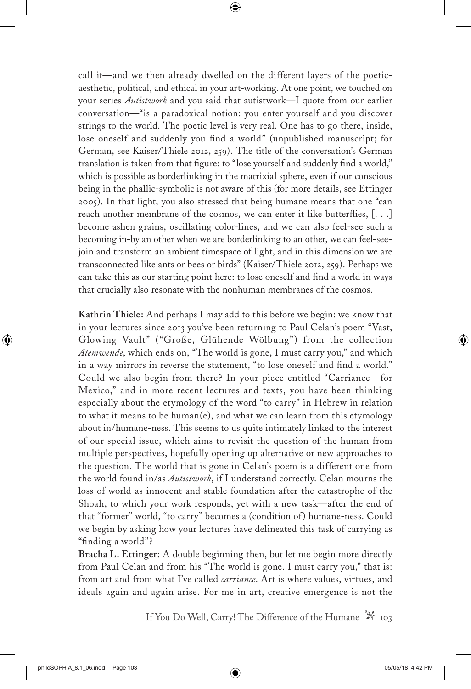call it—and we then already dwelled on the different layers of the poeticaesthetic, political, and ethical in your art-working. At one point, we touched on your series *Autistwork* and you said that autistwork—I quote from our earlier conversation—"is a paradoxical notion: you enter yourself and you discover strings to the world. The poetic level is very real. One has to go there, inside, lose oneself and suddenly you find a world" (unpublished manuscript; for German, see Kaiser/Thiele 2012, 259). The title of the conversation's German translation is taken from that figure: to "lose yourself and suddenly find a world," which is possible as borderlinking in the matrixial sphere, even if our conscious being in the phallic-symbolic is not aware of this (for more details, see Ettinger 2005). In that light, you also stressed that being humane means that one "can reach another membrane of the cosmos, we can enter it like butterflies, [. . .] become ashen grains, oscillating color-lines, and we can also feel-see such a becoming in-by an other when we are borderlinking to an other, we can feel-seejoin and transform an ambient timespace of light, and in this dimension we are transconnected like ants or bees or birds" (Kaiser/Thiele 2012, 259). Perhaps we can take this as our starting point here: to lose oneself and find a world in ways that crucially also resonate with the nonhuman membranes of the cosmos.

**Kathrin Thiele:** And perhaps I may add to this before we begin: we know that in your lectures since 2013 you've been returning to Paul Celan's poem "Vast, Glowing Vault" ("Große, Glühende Wölbung") from the collection *Atemwende*, which ends on, "The world is gone, I must carry you," and which in a way mirrors in reverse the statement, "to lose oneself and find a world." Could we also begin from there? In your piece entitled "Carriance—for Mexico," and in more recent lectures and texts, you have been thinking especially about the etymology of the word "to carry" in Hebrew in relation to what it means to be human(e), and what we can learn from this etymology about in/humane-ness. This seems to us quite intimately linked to the interest of our special issue, which aims to revisit the question of the human from multiple perspectives, hopefully opening up alternative or new approaches to the question. The world that is gone in Celan's poem is a different one from the world found in/as *Autistwork*, if I understand correctly. Celan mourns the loss of world as innocent and stable foundation after the catastrophe of the Shoah, to which your work responds, yet with a new task—after the end of that "former" world, "to carry" becomes a (condition of) humane-ness. Could we begin by asking how your lectures have delineated this task of carrying as "finding a world"?

**Bracha L. Ettinger:** A double beginning then, but let me begin more directly from Paul Celan and from his "The world is gone. I must carry you," that is: from art and from what I've called *carriance*. Art is where values, virtues, and ideals again and again arise. For me in art, creative emergence is not the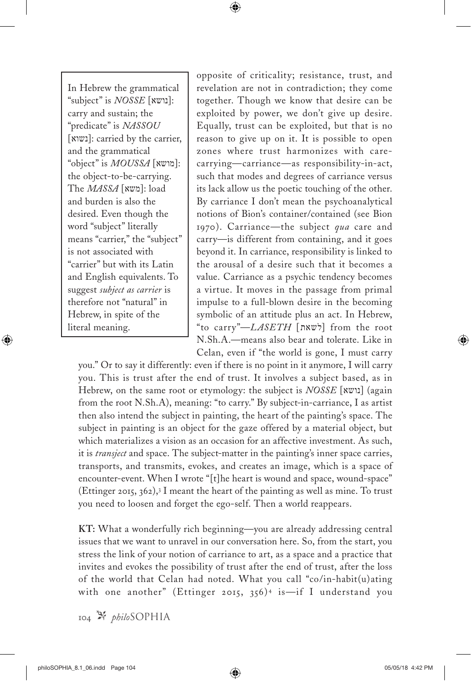In Hebrew the grammatical "subject" is *NOSSE* [נושא]: carry and sustain; the "predicate" is *NASSOU* [נשוא[: carried by the carrier, and the grammatical "object" is *MOUSSA* [מושא[: the object-to-be-carrying. The *MASSA* [משא]: load and burden is also the desired. Even though the word "subject" literally means "carrier," the "subject" is not associated with "carrier" but with its Latin and English equivalents. To suggest *subject as carrier* is therefore not "natural" in Hebrew, in spite of the literal meaning.

opposite of criticality; resistance, trust, and revelation are not in contradiction; they come together. Though we know that desire can be exploited by power, we don't give up desire. Equally, trust can be exploited, but that is no reason to give up on it. It is possible to open zones where trust harmonizes with carecarrying—carriance—as responsibility-in-act, such that modes and degrees of carriance versus its lack allow us the poetic touching of the other. By carriance I don't mean the psychoanalytical notions of Bion's container/contained (see Bion 1970). Carriance—the subject *qua* care and carry—is different from containing, and it goes beyond it. In carriance, responsibility is linked to the arousal of a desire such that it becomes a value. Carriance as a psychic tendency becomes a virtue. It moves in the passage from primal impulse to a full-blown desire in the becoming symbolic of an attitude plus an act. In Hebrew, "to carry"—*LASETH* [לשאת] from the root N.Sh.A.—means also bear and tolerate. Like in Celan, even if "the world is gone, I must carry

you." Or to say it differently: even if there is no point in it anymore, I will carry you. This is trust after the end of trust. It involves a subject based, as in Hebrew, on the same root or etymology: the subject is *NOSSE* [נושא) [again from the root N.Sh.A), meaning: "to carry." By subject-in-carriance, I as artist then also intend the subject in painting, the heart of the painting's space. The subject in painting is an object for the gaze offered by a material object, but which materializes a vision as an occasion for an affective investment. As such, it is *transject* and space. The subject-matter in the painting's inner space carries, transports, and transmits, evokes, and creates an image, which is a space of encounter-event. When I wrote "[t]he heart is wound and space, wound-space" (Ettinger 2015, 362),<sup>3</sup> I meant the heart of the painting as well as mine. To trust you need to loosen and forget the ego-self. Then a world reappears.

**KT:** What a wonderfully rich beginning—you are already addressing central issues that we want to unravel in our conversation here. So, from the start, you stress the link of your notion of carriance to art, as a space and a practice that invites and evokes the possibility of trust after the end of trust, after the loss of the world that Celan had noted. What you call "co/in-habit(u)ating with one another" (Ettinger 2015, 356)<sup>4</sup> is-if I understand you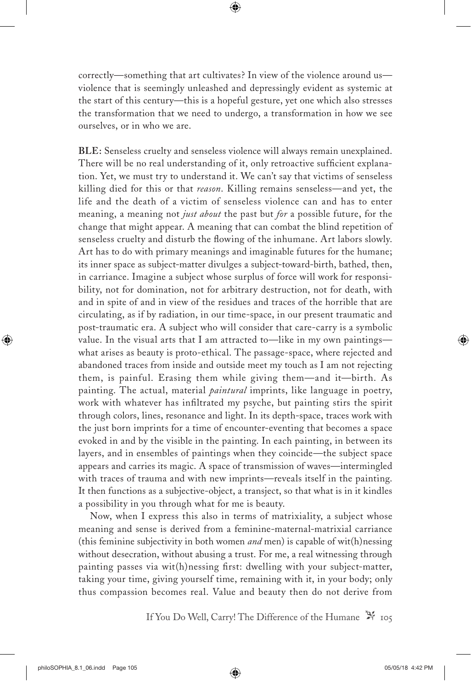correctly—something that art cultivates? In view of the violence around us violence that is seemingly unleashed and depressingly evident as systemic at the start of this century—this is a hopeful gesture, yet one which also stresses the transformation that we need to undergo, a transformation in how we see ourselves, or in who we are.

**BLE:** Senseless cruelty and senseless violence will always remain unexplained. There will be no real understanding of it, only retroactive sufficient explanation. Yet, we must try to understand it. We can't say that victims of senseless killing died for this or that *reason*. Killing remains senseless—and yet, the life and the death of a victim of senseless violence can and has to enter meaning, a meaning not *just about* the past but *for* a possible future, for the change that might appear. A meaning that can combat the blind repetition of senseless cruelty and disturb the flowing of the inhumane. Art labors slowly. Art has to do with primary meanings and imaginable futures for the humane; its inner space as subject-matter divulges a subject-toward-birth, bathed, then, in carriance. Imagine a subject whose surplus of force will work for responsibility, not for domination, not for arbitrary destruction, not for death, with and in spite of and in view of the residues and traces of the horrible that are circulating, as if by radiation, in our time-space, in our present traumatic and post-traumatic era. A subject who will consider that care-carry is a symbolic value. In the visual arts that I am attracted to—like in my own paintings what arises as beauty is proto-ethical. The passage-space, where rejected and abandoned traces from inside and outside meet my touch as I am not rejecting them, is painful. Erasing them while giving them—and it—birth. As painting. The actual, material *paintural* imprints, like language in poetry, work with whatever has infiltrated my psyche, but painting stirs the spirit through colors, lines, resonance and light. In its depth-space, traces work with the just born imprints for a time of encounter-eventing that becomes a space evoked in and by the visible in the painting. In each painting, in between its layers, and in ensembles of paintings when they coincide—the subject space appears and carries its magic. A space of transmission of waves—intermingled with traces of trauma and with new imprints—reveals itself in the painting. It then functions as a subjective-object, a transject, so that what is in it kindles a possibility in you through what for me is beauty.

Now, when I express this also in terms of matrixiality, a subject whose meaning and sense is derived from a feminine-maternal-matrixial carriance (this feminine subjectivity in both women *and* men) is capable of wit(h)nessing without desecration, without abusing a trust. For me, a real witnessing through painting passes via wit(h)nessing first: dwelling with your subject-matter, taking your time, giving yourself time, remaining with it, in your body; only thus compassion becomes real. Value and beauty then do not derive from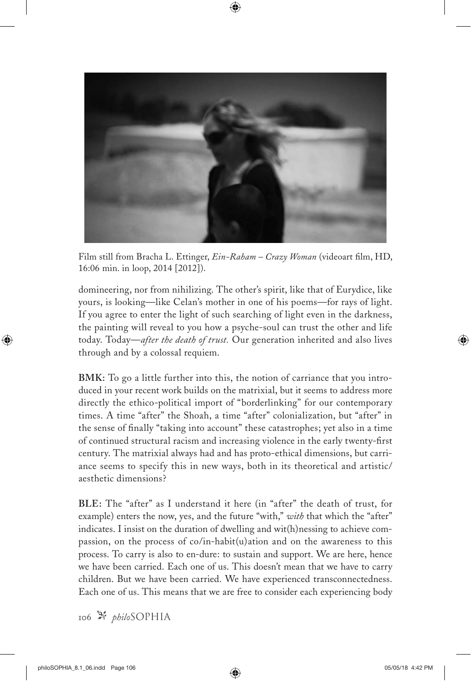

Film still from Bracha L. Ettinger, *Ein-Raham – Crazy Woman* (videoart film, HD, 16:06 min. in loop, 2014 [2012]).

domineering, nor from nihilizing. The other's spirit, like that of Eurydice, like yours, is looking—like Celan's mother in one of his poems—for rays of light. If you agree to enter the light of such searching of light even in the darkness, the painting will reveal to you how a psyche-soul can trust the other and life today. Today—*after the death of trust.* Our generation inherited and also lives through and by a colossal requiem.

**BMK:** To go a little further into this, the notion of carriance that you introduced in your recent work builds on the matrixial, but it seems to address more directly the ethico-political import of "borderlinking" for our contemporary times. A time "after" the Shoah, a time "after" colonialization, but "after" in the sense of finally "taking into account" these catastrophes; yet also in a time of continued structural racism and increasing violence in the early twenty-first century. The matrixial always had and has proto-ethical dimensions, but carriance seems to specify this in new ways, both in its theoretical and artistic/ aesthetic dimensions?

**BLE:** The "after" as I understand it here (in "after" the death of trust, for example) enters the now, yes, and the future "with," *with* that which the "after" indicates. I insist on the duration of dwelling and wit(h)nessing to achieve compassion, on the process of co/in-habit(u)ation and on the awareness to this process. To carry is also to en-dure: to sustain and support. We are here, hence we have been carried. Each one of us. This doesn't mean that we have to carry children. But we have been carried. We have experienced transconnectedness. Each one of us. This means that we are free to consider each experiencing body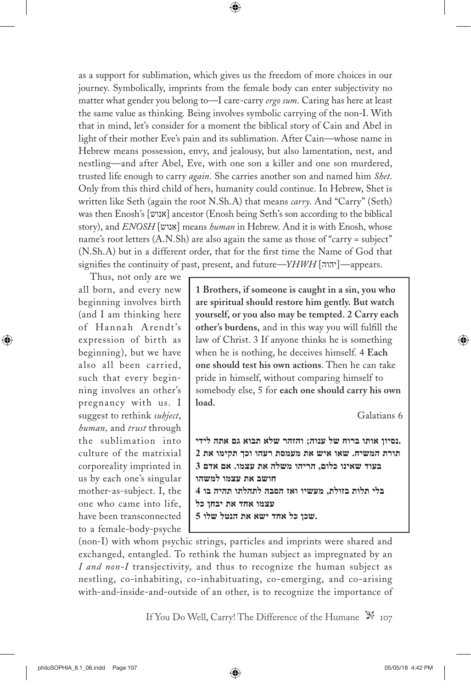as a support for sublimation, which gives us the freedom of more choices in our journey. Symbolically, imprints from the female body can enter subjectivity no matter what gender you belong to—I care-carry *ergo sum*. Caring has here at least the same value as thinking. Being involves symbolic carrying of the non-I. With that in mind, let's consider for a moment the biblical story of Cain and Abel in light of their mother Eve's pain and its sublimation. After Cain—whose name in Hebrew means possession, envy, and jealousy, but also lamentation, nest, and nestling—and after Abel, Eve, with one son a killer and one son murdered, trusted life enough to carry *again*. She carries another son and named him *Shet*. Only from this third child of hers, humanity could continue. In Hebrew, Shet is written like Seth (again the root N.Sh.A) that means *carry*. And "Carry" (Seth) was then Enosh's [אנוש] ancestor (Enosh being Seth's son according to the biblical story), and *ENOSH* [אנוש] means *human* in Hebrew. And it is with Enosh, whose name's root letters (A.N.Sh) are also again the same as those of "carry = subject" (N.Sh.A) but in a different order, that for the first time the Name of God that signifies the continuity of past, present, and future—*YHWH* [יהוה]—appears.

Thus, not only are we all born, and every new beginning involves birth (and I am thinking here of Hannah A rendt 's expression of birth as beginning), but we have also all been carried, such that every beginning involves an other's pregnancy with us. I suggest to rethink *subject*, *human,* and *trust* through the sublimation into culture of the matrixial corporeality imprinted in us by each one's singular mother-as-subject. I, the one who came into life, have been transconnected to a female-body-psyche

**1 Brothers, if someone is caught in a sin, you who are spiritual should restore him gently. But watch yourself, or you also may be tempted. 2 Carry each other's burdens,** and in this way you will fulfill the law of Christ. 3 If anyone thinks he is something when he is nothing, he deceives himself. 4 **Each one should test his own actions**. Then he can take pride in himself, without comparing himself to somebody else, 5 for **each one should carry his own load.**

Galatians 6

**.נסיון אותו ברוח של ענוה; והזהר שלא תבוא גם אתה לידי תורת המשיח. שאו איש את מעמסת רעהו וכך תקימו את 2 בעוד שאינו כלום, הריהו משלה את עצמו. אם אדם 3 חושב את עצמו למשהו בלי תלות בזולת, מעשיו ואז הסבה לתהלתו תהיה בו 4 עצמו אחד את יבחן כל .שכן כל אחד ישא את הנטל שלו 5**

(non-I) with whom psychic strings, particles and imprints were shared and exchanged, entangled. To rethink the human subject as impregnated by an *I and non-I* transjectivity, and thus to recognize the human subject as nestling, co-inhabiting, co-inhabituating, co-emerging, and co-arising with-and-inside-and-outside of an other, is to recognize the importance of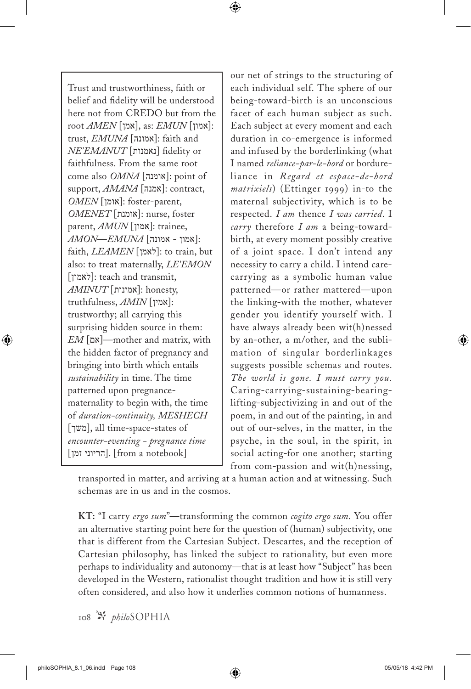Trust and trustworthiness, faith or belief and fidelity will be understood here not from CREDO but from the root *AMEN* [אמן[, as: *EMUN* [אמון[: trust, *EMUNA* [אמונה]: faith and *NE'EMANUT* [נאמנות [fidelity or faithfulness. From the same root come also  $OMNA$  [אומנה]: point of support, *AMANA* [אמנה]: contract, *OMEN* [אומן[: foster-parent, *OMENET* [אומנת[: nurse, foster parent, *AMUN* [אמון]: trainee, :[אמון - אמונה] *EMUNA*—*AMON* faith, *LEAMEN* [לאמן[: to train, but also: to treat maternally, *LE'EMON* [לאמון[: teach and transmit, *AMINUT* [אמינות[: honesty, truthfulness, *AMIN* [אמין]: trustworthy; all carrying this surprising hidden source in them: *EM* [אם—[mother and matrix, with the hidden factor of pregnancy and bringing into birth which entails *sustainability* in time. The time patterned upon pregnancematernality to begin with, the time of *duration-continuity, MESHECH* [משך[, all time-space-states of *encounter-eventing - pregnance time* [הריוני  $[$ הריוני $]$ .  $[$ from a notebook]

our net of strings to the structuring of each individual self. The sphere of our being-toward-birth is an unconscious facet of each human subject as such. Each subject at every moment and each duration in co-emergence is informed and infused by the borderlinking (what I named *reliance-par-le-bord* or bordureliance in *Regard et espace-de-bord matrixiels*) (Ettinger 1999) in-to the maternal subjectivity, which is to be respected. *I am* thence *I was carried*. I *carry* therefore *I am* a being-towardbirth, at every moment possibly creative of a joint space. I don't intend any necessity to carry a child. I intend carecarrying as a symbolic human value patterned—or rather mattered—upon the linking-with the mother, whatever gender you identify yourself with. I have always already been wit(h)nessed by an-other, a m/other, and the sublimation of singular borderlinkages suggests possible schemas and routes. *The world is gone. I must carry you.* Caring-carrying-sustaining-bearinglifting-subjectivizing in and out of the poem, in and out of the painting, in and out of our-selves, in the matter, in the psyche, in the soul, in the spirit, in social acting-for one another; starting from com-passion and wit(h)nessing,

transported in matter, and arriving at a human action and at witnessing. Such schemas are in us and in the cosmos.

**KT:** "I carry *ergo sum*"—transforming the common *cogito ergo sum*. You offer an alternative starting point here for the question of (human) subjectivity, one that is different from the Cartesian Subject. Descartes, and the reception of Cartesian philosophy, has linked the subject to rationality, but even more perhaps to individuality and autonomy—that is at least how "Subject" has been developed in the Western, rationalist thought tradition and how it is still very often considered, and also how it underlies common notions of humanness.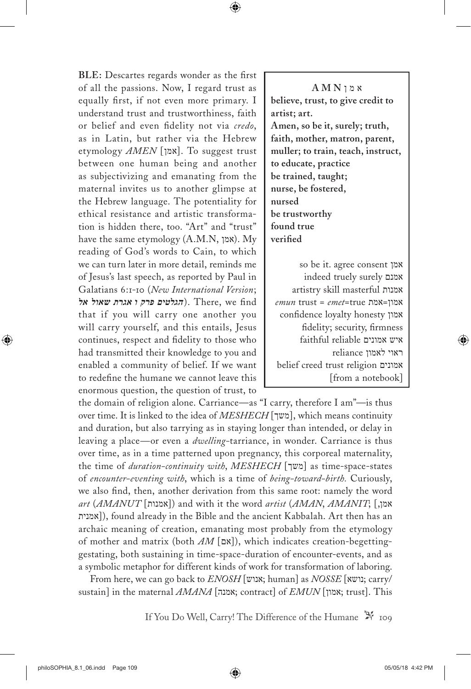**BLE:** Descartes regards wonder as the first of all the passions. Now, I regard trust as equally first, if not even more primary. I understand trust and trustworthiness, faith or belief and even fidelity not via *credo*, as in Latin, but rather via the Hebrew etymology *AMEN* [אמן[. To suggest trust between one human being and another as subjectivizing and emanating from the maternal invites us to another glimpse at the Hebrew language. The potentiality for ethical resistance and artistic transformation is hidden there, too. "Art" and "trust" have the same etymology (A.M.N, אמן). My reading of God's words to Cain, to which we can turn later in more detail, reminds me of Jesus's last speech, as reported by Paul in Galatians 6:1-10 (*New International Version*; find we ,There .)*הגלטים פרק ו אגרת שאול אל* that if you will carry one another you will carry yourself, and this entails, Jesus continues, respect and fidelity to those who had transmitted their knowledge to you and enabled a community of belief. If we want to redefine the humane we cannot leave this enormous question, the question of trust, to

א מ ן **N M A believe, trust, to give credit to artist; art. Amen, so be it, surely; truth, faith, mother, matron, parent, muller; to train, teach, instruct, to educate, practice be trained, taught; nurse, be fostered, nursed be trustworthy found true verified**

so be it. agree consent אמן indeed truely surely אמנם artistry skill masterful אמנות *emun* trust = *emet*=true אמת=אמון confidence loyalty honesty אמון fidelity; security, firmness איש אמונים reliable faithful ראוי לאמון reliance belief creed trust religion אמונים [from a notebook]

the domain of religion alone. Carriance—as "I carry, therefore I am"—is thus over time. It is linked to the idea of *MESHECH* [משך[, which means continuity and duration, but also tarrying as in staying longer than intended, or delay in leaving a place*—*or even a *dwelling-*tarriance, in wonder. Carriance is thus over time, as in a time patterned upon pregnancy, this corporeal maternality, the time of *duration-continuity with*, *MESHECH* [משך] as time-space-states of *encounter-eventing with*, which is a time of *being-toward-birth.* Curiously, we also find, then, another derivation from this same root: namely the word  $art$  (*AMANUT* [אמנות]) and with it the word *artist* (*AMAN*, *AMANIT*; [, אמן אמנית([, found already in the Bible and the ancient Kabbalah. Art then has an archaic meaning of creation, emanating most probably from the etymology of mother and matrix (both  $AM$  [אם), which indicates creation-begettinggestating, both sustaining in time-space-duration of encounter-events, and as a symbolic metaphor for different kinds of work for transformation of laboring.

From here, we can go back to *ENOSH* [עוש; human] as *NOSSE* [נושא; carry/ sustain] in the maternal *AMANA* [אמנה; contract] of *EMUN* [אמון; trust]. This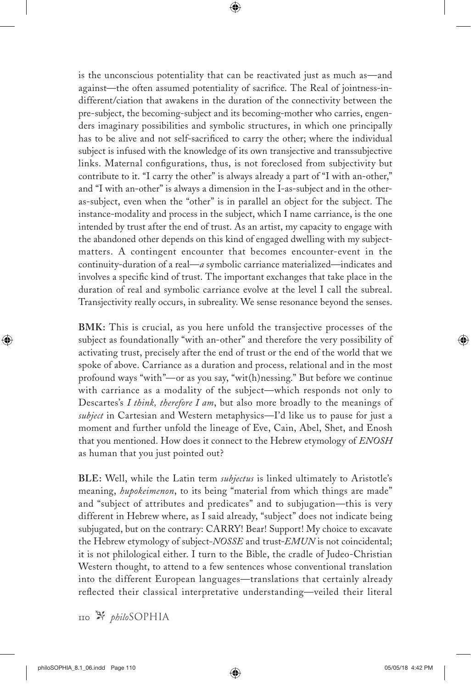is the unconscious potentiality that can be reactivated just as much as—and against—the often assumed potentiality of sacrifice. The Real of jointness-indifferent/ciation that awakens in the duration of the connectivity between the pre-subject, the becoming-subject and its becoming-mother who carries, engenders imaginary possibilities and symbolic structures, in which one principally has to be alive and not self-sacrificed to carry the other; where the individual subject is infused with the knowledge of its own transjective and transsubjective links. Maternal configurations, thus, is not foreclosed from subjectivity but contribute to it. "I carry the other" is always already a part of "I with an-other," and "I with an-other" is always a dimension in the I-as-subject and in the otheras-subject, even when the "other" is in parallel an object for the subject. The instance-modality and process in the subject, which I name carriance, is the one intended by trust after the end of trust. As an artist, my capacity to engage with the abandoned other depends on this kind of engaged dwelling with my subjectmatters. A contingent encounter that becomes encounter-event in the continuity-duration of a real—*a* symbolic carriance materialized—indicates and involves a specific kind of trust. The important exchanges that take place in the duration of real and symbolic carriance evolve at the level I call the subreal. Transjectivity really occurs, in subreality. We sense resonance beyond the senses.

**BMK:** This is crucial, as you here unfold the transjective processes of the subject as foundationally "with an-other" and therefore the very possibility of activating trust, precisely after the end of trust or the end of the world that we spoke of above. Carriance as a duration and process, relational and in the most profound ways "with"—or as you say, "wit(h)nessing." But before we continue with carriance as a modality of the subject—which responds not only to Descartes's *I think, therefore I am*, but also more broadly to the meanings of *subject* in Cartesian and Western metaphysics—I'd like us to pause for just a moment and further unfold the lineage of Eve, Cain, Abel, Shet, and Enosh that you mentioned. How does it connect to the Hebrew etymology of *ENOSH* as human that you just pointed out?

**BLE:** Well, while the Latin term *subjectus* is linked ultimately to Aristotle's meaning, *hupokeimenon*, to its being "material from which things are made" and "subject of attributes and predicates" and to subjugation—this is very different in Hebrew where, as I said already, "subject" does not indicate being subjugated, but on the contrary: CARRY! Bear! Support! My choice to excavate the Hebrew etymology of subject*-NOSSE* and trust-*EMUN* is not coincidental; it is not philological either. I turn to the Bible, the cradle of Judeo-Christian Western thought, to attend to a few sentences whose conventional translation into the different European languages—translations that certainly already reflected their classical interpretative understanding—veiled their literal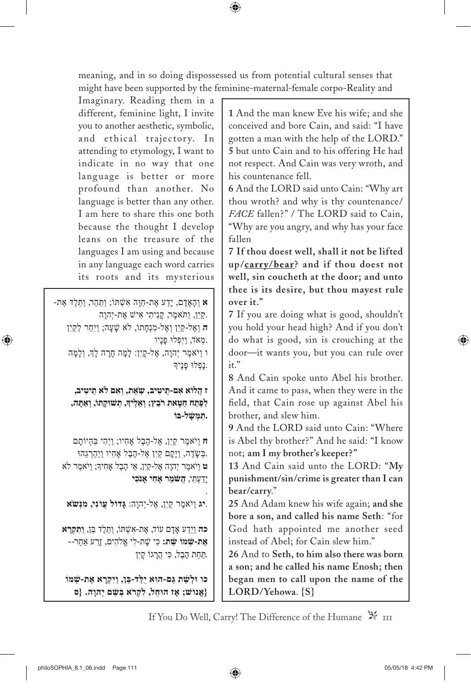meaning, and in so doing dispossessed us from potential cultural senses that might have been supported by the feminine-maternal-female corpo-Reality and

Imaginary. Reading them in a different, feminine light, I invite you to another aesthetic, symbolic, and ethical trajectory. In attending to etymology, I want to indicate in no way that one language is better or more profound than another. No language is better than any other. I am here to share this one both because the thought I develop leans on the treasure of the languages I am using and because in any language each word carries its roots and its mysterious

א וְהָאֲדָם, יַדַע אֶת-חַוָּה אִשְׁתּוֹ; וַתַּהֵר, וַתָּלֶד אֶת-קִין, וַתֹּאמֶר, קָנִיתִי אִישׁ אֵת-יְהוָה. **ה** וְ אֶ ל-קַ יִן וְ אֶ ל-מִ נְחָתֹו, ֹלא שָ ׁעָה; וַיִּחַר לְ קַ יִן .מְ א ֹד, וַיִּפְ ּלּו פָּנָיו ו וַי ֹּאמֶ ר יְהוָה, אֶ ל-קָ יִן: לָמָּה חָרָ ה לְָך, וְ לָמָ ּה נִפְלוּ פַנֵיִדּ.

> **ז הֲלֹוא אִם-תֵ ּיטִיב, שְ ׂאֵת, וְאִם ֹלא תֵיטִיב, לַפֶּתַח חַטָּאת ר ֹבֵץ; וְאֵלֶיָך, תְ ּׁשּוקָתֹו, וְַאתָ ּה, .תִ ּמְשָ ׁלּ-בֹו**

ח וַיֹּאמֶר קַיָן, אֶל-הֶבֶל אֶחֶיו; וַיְהִי בְּהִיוֹתַם .בַּשָ ּׂדֶ ה, וַיָּקָ ם קַ יִן אֶ ל-הֶבֶל ָאחִ יו וַיַּהַרְ גֵהּו **ט** וַי ֹּאמֶר יְהוָה אֶל-קַיִן, אֵי הֶבֶל ָאחִ יָך; וַי ֹּאמֶר ֹלא יָדַעְתִי, **הַשׁמֵר אַחִי אַנכִי** 

.**יג** וַי ֹּאמֶ ר קַ יִן, אֶ ל-יְהוָה: **גָּדֹול עֲוֹנִי, מִנְּש ֹׂא**

.

**כה** וַיֵּדַ ע ָאדָ ם עֹוד, אֶ ת-אִ שְ ּׁתֹו, וַתֵ ּלֶד בֵּן, **וַתִ ּקְרָ א אֶת-שְ ׁמֹו שֵ ׁת:** כִּי שָ ׁת-לִ י אֱ ֹלהִ ים, זֶרַ ע ַאחֵר-- . הֶבֶל, כִ ּי הֲרָ גֹו קָ יִן

**כו ּולְשֵ ׁת גַּם-הּוא יֻלַּד-בֵּן, וַיִּקְרָ א אֶ ת-שְ ׁמֹו {אֱ נֹוׁש; ָאז הּוחַל, לִקְר ֹא בְּשֵ ׁם יְהוָה. }ס**

**1** And the man knew Eve his wife; and she conceived and bore Cain, and said: "I have gotten a man with the help of the LORD." **5** but unto Cain and to his offering He had not respect. And Cain was very wroth, and his countenance fell.

**6** And the LORD said unto Cain: "Why art thou wroth? and why is thy countenance/ *FACE* fallen?" / The LORD said to Cain, "Why are you angry, and why has your face fallen

**7 If thou doest well, shall it not be lifted up/carry/bear? and if thou doest not well, sin coucheth at the door; and unto thee is its desire, but thou mayest rule over it."**

**7** If you are doing what is good, shouldn't you hold your head high? And if you don't do what is good, sin is crouching at the door—it wants you, but you can rule over  $it$ "

**8** And Cain spoke unto Abel his brother. And it came to pass, when they were in the field, that Cain rose up against Abel his brother, and slew him.

**9** And the LORD said unto Cain: "Where is Abel thy brother?" And he said: "I know not; **am I my brother's keeper?"**

**13** And Cain said unto the LORD: "**My punishment/sin/crime is greater than I can bear/carry**."

**25** And Adam knew his wife again; **and she bore a son, and called his name Seth**: "for God hath appointed me another seed instead of Abel; for Cain slew him."

**26** And to **Seth, to him also there was born a son; and he called his name Enosh; then began men to call upon the name of the LORD/Yehowa**. **{S}**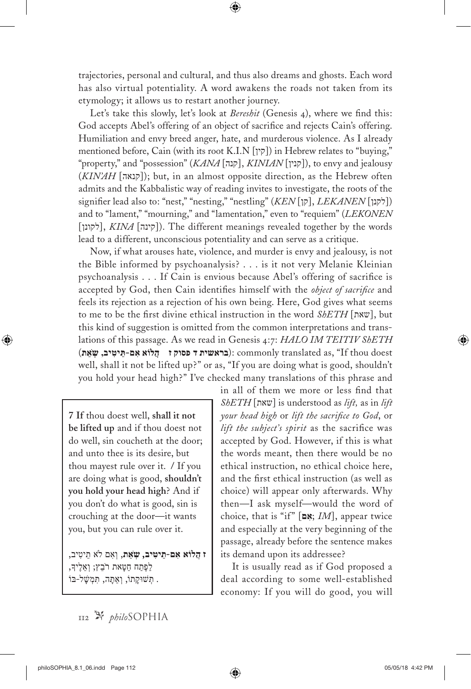trajectories, personal and cultural, and thus also dreams and ghosts. Each word has also virtual potentiality. A word awakens the roads not taken from its etymology; it allows us to restart another journey.

Let's take this slowly, let's look at *Bereshit* (Genesis 4), where we find this: God accepts Abel's offering of an object of sacrifice and rejects Cain's offering. Humiliation and envy breed anger, hate, and murderous violence. As I already mentioned before, Cain (with its root K.I.N [ $\gamma$ ]) in Hebrew relates to "buying," "property," and "possession" (*KANA* [קנה], *KINIAN* [קנין]), to envy and jealousy (*KIN'AH* [קנאה]); but, in an almost opposite direction, as the Hebrew often admits and the Kabbalistic way of reading invites to investigate, the roots of the signifier lead also to: "nest," "nesting," "nestling" (*KEN* [לקנן], *LEKANEN* [לקנן]) and to "lament," "mourning," and "lamentation," even to "requiem" (*LEKONEN*  $[\gamma]$ לקונן, *KINA* [קינה]. The different meanings revealed together by the words lead to a different, unconscious potentiality and can serve as a critique.

Now, if what arouses hate, violence, and murder is envy and jealousy, is not the Bible informed by psychoanalysis? . . . is it not very Melanie Kleinian psychoanalysis . . . If Cain is envious because Abel's offering of sacrifice is accepted by God, then Cain identifies himself with the *object of sacrifice* and feels its rejection as a rejection of his own being. Here, God gives what seems to me to be the first divine ethical instruction in the word *ShETH* [שאת[, but this kind of suggestion is omitted from the common interpretations and translations of this passage. As we read in Genesis 4:7: *HALO IM TEITIV ShETH* ( **,** ): commonly translated as, "If thou doest well, shall it not be lifted up?" or as, "If you are doing what is good, shouldn't you hold your head high?" I've checked many translations of this phrase and

**7 If** thou doest well, **shall it not be lifted up** and if thou doest not do well, sin coucheth at the door; and unto thee is its desire, but thou mayest rule over it. **/** If you are doing what is good, **shouldn't you hold your head high**? And if you don't do what is good, sin is crouching at the door—it wants you, but you can rule over it.

**ז הֲלֹוא אִם-תֵ ּיטִ יב, שְ ׂאֵת**, וְ אִם ֹלא תֵ יטִ יב, לַפֶּתַח חַטָּאת רֹבֵץ; וְאֵלֶיךָ, . תְ ּׁשּוקָ תֹו, וְ ַאתָ ּה, תִ ּמְ שָ ׁלּ-בֹו

in all of them we more or less find that *ShETH* [שאת [is understood as *lift,* as in *lift your head high* or *lift the sacrifice to God*, or *lift the subject's spirit* as the sacrifice was accepted by God. However, if this is what the words meant, then there would be no ethical instruction, no ethical choice here, and the first ethical instruction (as well as choice) will appear only afterwards. Why then—I ask myself—would the word of choice, that is "if" [**ם ִא** ;*IM*], appear twice and especially at the very beginning of the passage, already before the sentence makes its demand upon its addressee?

It is usually read as if God proposed a deal according to some well-established economy: If you will do good, you will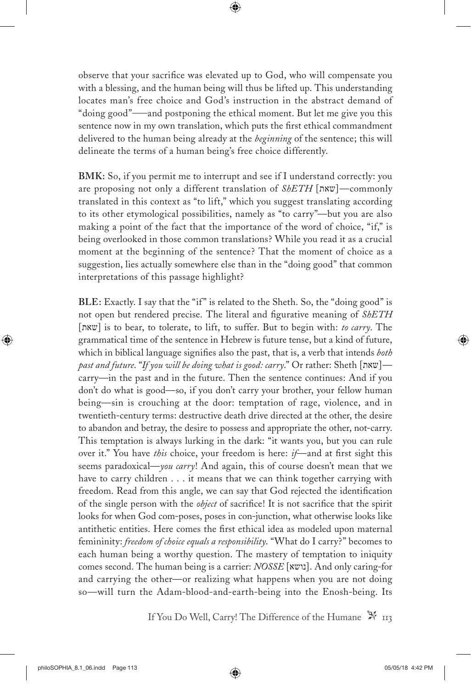observe that your sacrifice was elevated up to God, who will compensate you with a blessing, and the human being will thus be lifted up. This understanding locates man's free choice and God's instruction in the abstract demand of "doing good"—and postponing the ethical moment. But let me give you this sentence now in my own translation, which puts the first ethical commandment delivered to the human being already at the *beginning* of the sentence; this will delineate the terms of a human being's free choice differently.

**BMK:** So, if you permit me to interrupt and see if I understand correctly: you are proposing not only a different translation of *ShETH* [שאת] —commonly translated in this context as "to lift," which you suggest translating according to its other etymological possibilities, namely as "to carry"—but you are also making a point of the fact that the importance of the word of choice, "if," is being overlooked in those common translations? While you read it as a crucial moment at the beginning of the sentence? That the moment of choice as a suggestion, lies actually somewhere else than in the "doing good" that common interpretations of this passage highlight?

**BLE:** Exactly. I say that the "if" is related to the Sheth. So, the "doing good" is not open but rendered precise. The literal and figurative meaning of *ShETH* [שאת [is to bear, to tolerate, to lift, to suffer. But to begin with: *to carry*. The grammatical time of the sentence in Hebrew is future tense, but a kind of future, which in biblical language signifies also the past, that is, a verb that intends *both past and future*. "*If you will be doing what is good: carry*." Or rather: Sheth [שאת—[ carry—in the past and in the future. Then the sentence continues: And if you don't do what is good—so, if you don't carry your brother, your fellow human being—sin is crouching at the door: temptation of rage, violence, and in twentieth-century terms: destructive death drive directed at the other, the desire to abandon and betray, the desire to possess and appropriate the other, not-carry. This temptation is always lurking in the dark: "it wants you, but you can rule over it." You have *this* choice, your freedom is here: *if*—and at first sight this seems paradoxical—*you carry*! And again, this of course doesn't mean that we have to carry children . . . it means that we can think together carrying with freedom. Read from this angle, we can say that God rejected the identification of the single person with the *object* of sacrifice! It is not sacrifice that the spirit looks for when God com-poses, poses in con-junction, what otherwise looks like antithetic entities. Here comes the first ethical idea as modeled upon maternal femininity: *freedom of choice equals a responsibility*. "What do I carry?" becomes to each human being a worthy question. The mastery of temptation to iniquity comes second. The human being is a carrier: *NOSSE* [נושא]. And only caring-for and carrying the other—or realizing what happens when you are not doing so—will turn the Adam-blood-and-earth-being into the Enosh-being. Its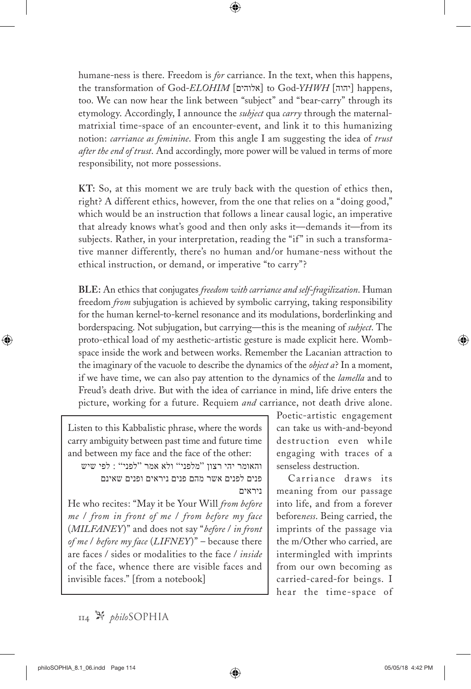humane-ness is there. Freedom is *for* carriance. In the text, when this happens, the transformation of God-*ELOHIM* [אלוהים] to God-*YHWH* [יהוה] happens, too. We can now hear the link between "subject" and "bear-carry" through its etymology. Accordingly, I announce the *subject* qua *carry* through the maternalmatrixial time-space of an encounter-event, and link it to this humanizing notion: *carriance as feminine*. From this angle I am suggesting the idea of *trust after the end of trust*. And accordingly, more power will be valued in terms of more responsibility, not more possessions.

**KT:** So, at this moment we are truly back with the question of ethics then, right? A different ethics, however, from the one that relies on a "doing good," which would be an instruction that follows a linear causal logic, an imperative that already knows what's good and then only asks it—demands it—from its subjects. Rather, in your interpretation, reading the "if" in such a transformative manner differently, there's no human and/or humane-ness without the ethical instruction, or demand, or imperative "to carry"?

**BLE:** An ethics that conjugates *freedom with carriance and self-fragilization*. Human freedom *from* subjugation is achieved by symbolic carrying, taking responsibility for the human kernel-to-kernel resonance and its modulations, borderlinking and borderspacing. Not subjugation, but carrying—this is the meaning of *subject*. The proto-ethical load of my aesthetic-artistic gesture is made explicit here. Wombspace inside the work and between works. Remember the Lacanian attraction to the imaginary of the vacuole to describe the dynamics of the *object a*? In a moment, if we have time, we can also pay attention to the dynamics of the *lamella* and to Freud's death drive. But with the idea of carriance in mind, life drive enters the picture, working for a future. Requiem *and* carriance, not death drive alone.

Listen to this Kabbalistic phrase, where the words carry ambiguity between past time and future time and between my face and the face of the other:

והאומר יהי רצון "מלפני" ולא אמר "לפני" : לפי שיש פנים לפנים אשר מהם פנים ניראים ופנים שאינם ניראים

He who recites: "May it be Your Will *from before me* / *from in front of me* / *from before my face* (*MILFANEY*)" and does not say "*before* / *in front of me* / *before my face* (*LIFNEY*)" – because there are faces / sides or modalities to the face / *inside* of the face, whence there are visible faces and invisible faces." [from a notebook]

Poetic-artistic engagement can take us with-and-beyond destruction even while engaging with traces of a senseless destruction.

Carriance draws its meaning from our passage into life, and from a forever before*ness*. Being carried, the imprints of the passage via the m/Other who carried, are intermingled with imprints from our own becoming as carried-cared-for beings. I hear the time-space of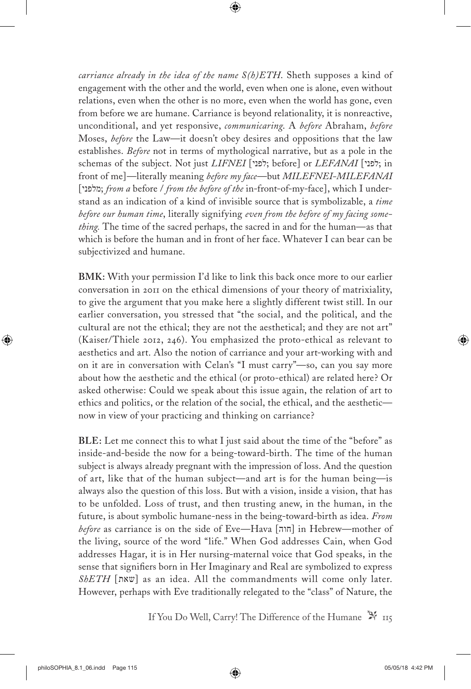*carriance already in the idea of the name S(h)ETH*. Sheth supposes a kind of engagement with the other and the world, even when one is alone, even without relations, even when the other is no more, even when the world has gone, even from before we are humane. Carriance is beyond relationality, it is nonreactive, unconditional, and yet responsive, *communicaring*. A *before* Abraham, *before* Moses, *before* the Law—it doesn't obey desires and oppositions that the law establishes. *Before* not in terms of mythological narrative, but as a pole in the schemas of the subject. Not just *LIFNEI* [לפני; before] or *LEFANAI* [לפני; in front of me]—literally meaning *before my face*—but *MILEFNEI-MILEFANAI* [מלפני ;*from a* before / *from the before of the* in-front-of-my-face], which I understand as an indication of a kind of invisible source that is symbolizable, a *time before our human time*, literally signifying *even from the before of my facing something.* The time of the sacred perhaps, the sacred in and for the human—as that which is before the human and in front of her face. Whatever I can bear can be subjectivized and humane.

**BMK:** With your permission I'd like to link this back once more to our earlier conversation in 2011 on the ethical dimensions of your theory of matrixiality, to give the argument that you make here a slightly different twist still. In our earlier conversation, you stressed that "the social, and the political, and the cultural are not the ethical; they are not the aesthetical; and they are not art" (Kaiser/Thiele 2012, 246). You emphasized the proto-ethical as relevant to aesthetics and art. Also the notion of carriance and your art-working with and on it are in conversation with Celan's "I must carry"—so, can you say more about how the aesthetic and the ethical (or proto-ethical) are related here? Or asked otherwise: Could we speak about this issue again, the relation of art to ethics and politics, or the relation of the social, the ethical, and the aesthetic now in view of your practicing and thinking on carriance?

**BLE:** Let me connect this to what I just said about the time of the "before" as inside-and-beside the now for a being-toward-birth. The time of the human subject is always already pregnant with the impression of loss. And the question of art, like that of the human subject—and art is for the human being—is always also the question of this loss. But with a vision, inside a vision, that has to be unfolded. Loss of trust, and then trusting anew, in the human, in the future, is about symbolic humane-ness in the being-toward-birth as idea. *From before* as carriance is on the side of Eve—Hava [חוה] in Hebrew—mother of the living, source of the word "life." When God addresses Cain, when God addresses Hagar, it is in Her nursing-maternal voice that God speaks, in the sense that signifiers born in Her Imaginary and Real are symbolized to express  $SbETH$  [שאת] as an idea. All the commandments will come only later. However, perhaps with Eve traditionally relegated to the "class" of Nature, the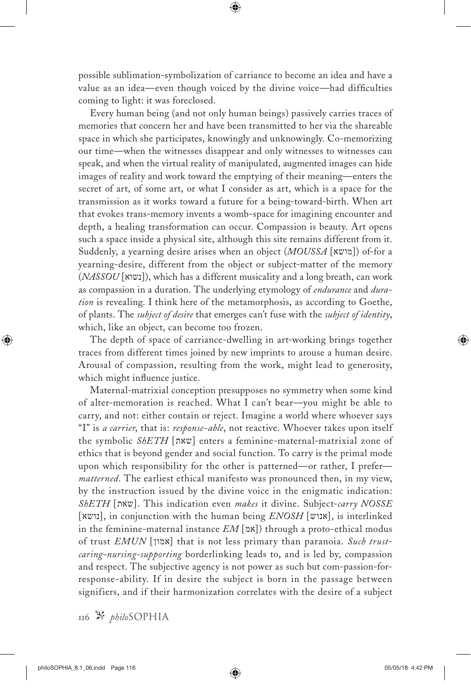possible sublimation-symbolization of carriance to become an idea and have a value as an idea—even though voiced by the divine voice—had difficulties coming to light: it was foreclosed.

Every human being (and not only human beings) passively carries traces of memories that concern her and have been transmitted to her via the shareable space in which she participates, knowingly and unknowingly. Co-memorizing our time—when the witnesses disappear and only witnesses to witnesses can speak, and when the virtual reality of manipulated, augmented images can hide images of reality and work toward the emptying of their meaning—enters the secret of art, of some art, or what I consider as art, which is a space for the transmission as it works toward a future for a being-toward-birth. When art that evokes trans-memory invents a womb-space for imagining encounter and depth, a healing transformation can occur. Compassion is beauty. Art opens such a space inside a physical site, although this site remains different from it. Suddenly, a yearning desire arises when an object (*MOUSSA* [מושא ([of-for a yearning-desire, different from the object or subject-matter of the memory (*NASSOU* [נשוא([, which has a different musicality and a long breath, can work as compassion in a duration. The underlying etymology of *endurance* and *duration* is revealing. I think here of the metamorphosis, as according to Goethe, of plants. The *subject of desire* that emerges can't fuse with the *subject of identity*, which, like an object, can become too frozen.

The depth of space of carriance-dwelling in art-working brings together traces from different times joined by new imprints to arouse a human desire. Arousal of compassion, resulting from the work, might lead to generosity, which might influence justice.

Maternal-matrixial conception presupposes no symmetry when some kind of alter-memoration is reached. What I can't bear—you might be able to carry, and not: either contain or reject. Imagine a world where whoever says "I" is *a carrier*, that is: *response-able*, not reactive. Whoever takes upon itself the symbolic *ShETH* [שאת [enters a feminine-maternal-matrixial zone of ethics that is beyond gender and social function. To carry is the primal mode upon which responsibility for the other is patterned—or rather, I prefer *matterned*. The earliest ethical manifesto was pronounced then, in my view, by the instruction issued by the divine voice in the enigmatic indication: *ShETH* [שאת[. This indication even *makes* it divine. Subject-*carry NOSSE* [נושא[, in conjunction with the human being *ENOSH* [אנוש[, is interlinked in the feminine-maternal instance  $EM$ [אמ]) through a proto-ethical modus of trust *EMUN* [אמון [that is not less primary than paranoia. *Such trustcaring-nursing-supporting* borderlinking leads to, and is led by, compassion and respect. The subjective agency is not power as such but com-passion-forresponse-ability. If in desire the subject is born in the passage between signifiers, and if their harmonization correlates with the desire of a subject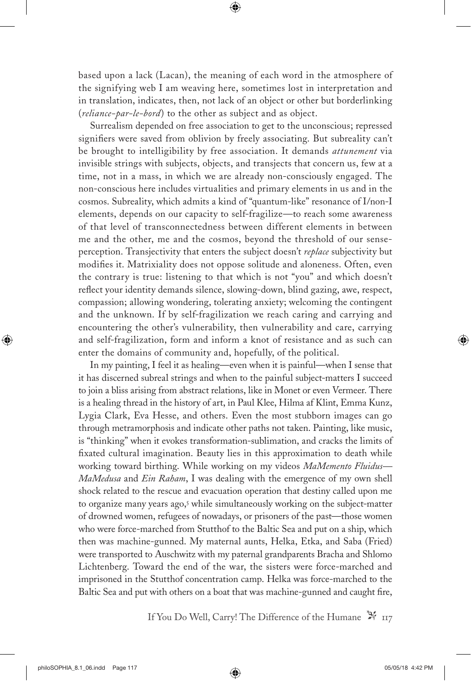based upon a lack (Lacan), the meaning of each word in the atmosphere of the signifying web I am weaving here, sometimes lost in interpretation and in translation, indicates, then, not lack of an object or other but borderlinking (*reliance-par-le-bord*) to the other as subject and as object.

Surrealism depended on free association to get to the unconscious; repressed signifiers were saved from oblivion by freely associating. But subreality can't be brought to intelligibility by free association. It demands *attunement* via invisible strings with subjects, objects, and transjects that concern us, few at a time, not in a mass, in which we are already non-consciously engaged. The non-conscious here includes virtualities and primary elements in us and in the cosmos. Subreality, which admits a kind of "quantum-like" resonance of I/non-I elements, depends on our capacity to self-fragilize—to reach some awareness of that level of transconnectedness between different elements in between me and the other, me and the cosmos, beyond the threshold of our senseperception. Transjectivity that enters the subject doesn't *replace* subjectivity but modifies it. Matrixiality does not oppose solitude and aloneness. Often, even the contrary is true: listening to that which is not "you" and which doesn't reflect your identity demands silence, slowing-down, blind gazing, awe, respect, compassion; allowing wondering, tolerating anxiety; welcoming the contingent and the unknown. If by self-fragilization we reach caring and carrying and encountering the other's vulnerability, then vulnerability and care, carrying and self-fragilization, form and inform a knot of resistance and as such can enter the domains of community and, hopefully, of the political.

In my painting, I feel it as healing—even when it is painful—when I sense that it has discerned subreal strings and when to the painful subject-matters I succeed to join a bliss arising from abstract relations, like in Monet or even Vermeer. There is a healing thread in the history of art, in Paul Klee, Hilma af Klint, Emma Kunz, Lygia Clark, Eva Hesse, and others. Even the most stubborn images can go through metramorphosis and indicate other paths not taken. Painting, like music, is "thinking" when it evokes transformation-sublimation, and cracks the limits of fixated cultural imagination. Beauty lies in this approximation to death while working toward birthing. While working on my videos *MaMemento Fluidus— MaMedusa* and *Ein Raham*, I was dealing with the emergence of my own shell shock related to the rescue and evacuation operation that destiny called upon me to organize many years ago,<sup>5</sup> while simultaneously working on the subject-matter of drowned women, refugees of nowadays, or prisoners of the past—those women who were force-marched from Stutthof to the Baltic Sea and put on a ship, which then was machine-gunned. My maternal aunts, Helka, Etka, and Saba (Fried) were transported to Auschwitz with my paternal grandparents Bracha and Shlomo Lichtenberg. Toward the end of the war, the sisters were force-marched and imprisoned in the Stutthof concentration camp. Helka was force-marched to the Baltic Sea and put with others on a boat that was machine-gunned and caught fire,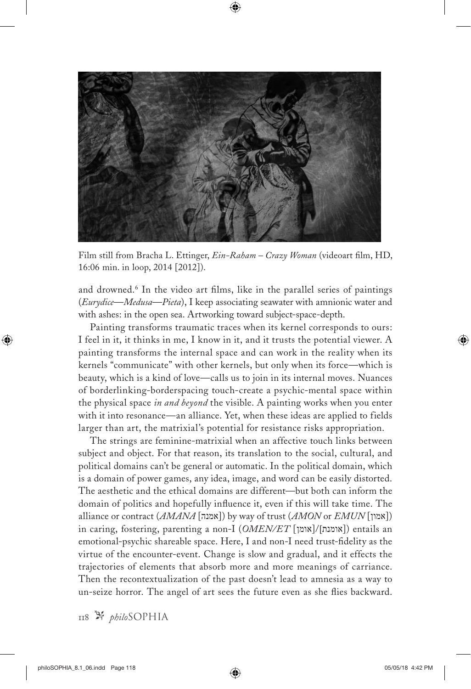

Film still from Bracha L. Ettinger, *Ein-Raham – Crazy Woman* (videoart film, HD, 16:06 min. in loop, 2014 [2012]).

and drowned.<sup>6</sup> In the video art films, like in the parallel series of paintings (*Eurydice*—*Medusa*—*Pieta*), I keep associating seawater with amnionic water and with ashes: in the open sea. Artworking toward subject-space-depth.

Painting transforms traumatic traces when its kernel corresponds to ours: I feel in it, it thinks in me, I know in it, and it trusts the potential viewer. A painting transforms the internal space and can work in the reality when its kernels "communicate" with other kernels, but only when its force—which is beauty, which is a kind of love—calls us to join in its internal moves. Nuances of borderlinking-borderspacing touch-create a psychic-mental space within the physical space *in and beyond* the visible. A painting works when you enter with it into resonance—an alliance. Yet, when these ideas are applied to fields larger than art, the matrixial's potential for resistance risks appropriation.

The strings are feminine-matrixial when an affective touch links between subject and object. For that reason, its translation to the social, cultural, and political domains can't be general or automatic. In the political domain, which is a domain of power games, any idea, image, and word can be easily distorted. The aesthetic and the ethical domains are different—but both can inform the domain of politics and hopefully influence it, even if this will take time. The alliance or contract (*AMANA* [אמנה]) by way of trust (*AMON* or *EMUN* [אמון]) in caring, fostering, parenting a non-I (*OMEN/ET* [אומן]/[אומנת ([entails an emotional-psychic shareable space. Here, I and non-I need trust-fidelity as the virtue of the encounter-event. Change is slow and gradual, and it effects the trajectories of elements that absorb more and more meanings of carriance. Then the recontextualization of the past doesn't lead to amnesia as a way to un-seize horror. The angel of art sees the future even as she flies backward.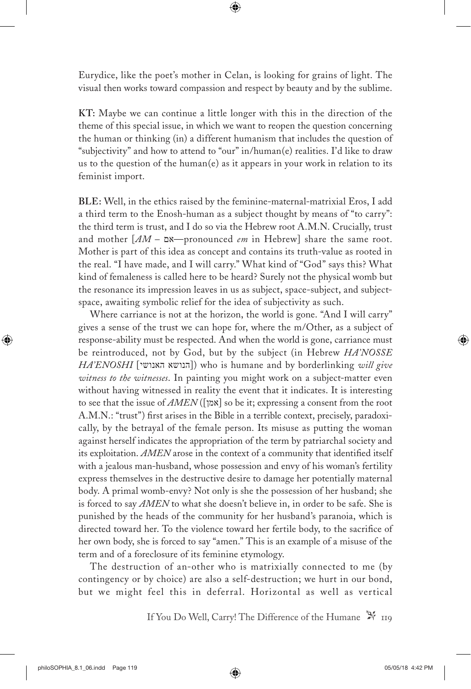Eurydice, like the poet's mother in Celan, is looking for grains of light. The visual then works toward compassion and respect by beauty and by the sublime.

**KT:** Maybe we can continue a little longer with this in the direction of the theme of this special issue, in which we want to reopen the question concerning the human or thinking (in) a different humanism that includes the question of "subjectivity" and how to attend to "our" in/human(e) realities. I'd like to draw us to the question of the human(e) as it appears in your work in relation to its feminist import.

**BLE:** Well, in the ethics raised by the feminine-maternal-matrixial Eros, I add a third term to the Enosh-human as a subject thought by means of "to carry": the third term is trust, and I do so via the Hebrew root A.M.N. Crucially, trust and mother [*AM –* אם—pronounced *em* in Hebrew] share the same root. Mother is part of this idea as concept and contains its truth-value as rooted in the real. "I have made, and I will carry." What kind of "God" says this? What kind of femaleness is called here to be heard? Surely not the physical womb but the resonance its impression leaves in us as subject, space-subject, and subjectspace, awaiting symbolic relief for the idea of subjectivity as such.

Where carriance is not at the horizon, the world is gone. "And I will carry" gives a sense of the trust we can hope for, where the m/Other, as a subject of response-ability must be respected. And when the world is gone, carriance must be reintroduced, not by God, but by the subject (in Hebrew *HA'NOSSE HA'ENOSHI* [הנושא האנושי]) who is humane and by borderlinking *will give witness to the witnesses*. In painting you might work on a subject-matter even without having witnessed in reality the event that it indicates. It is interesting to see that the issue of *AMEN* ([אמן [so be it; expressing a consent from the root A.M.N.: "trust") first arises in the Bible in a terrible context, precisely, paradoxically, by the betrayal of the female person. Its misuse as putting the woman against herself indicates the appropriation of the term by patriarchal society and its exploitation. *AMEN* arose in the context of a community that identified itself with a jealous man-husband, whose possession and envy of his woman's fertility express themselves in the destructive desire to damage her potentially maternal body. A primal womb-envy? Not only is she the possession of her husband; she is forced to say *AMEN* to what she doesn't believe in, in order to be safe. She is punished by the heads of the community for her husband's paranoia, which is directed toward her. To the violence toward her fertile body, to the sacrifice of her own body, she is forced to say "amen." This is an example of a misuse of the term and of a foreclosure of its feminine etymology.

The destruction of an-other who is matrixially connected to me (by contingency or by choice) are also a self-destruction; we hurt in our bond, but we might feel this in deferral. Horizontal as well as vertical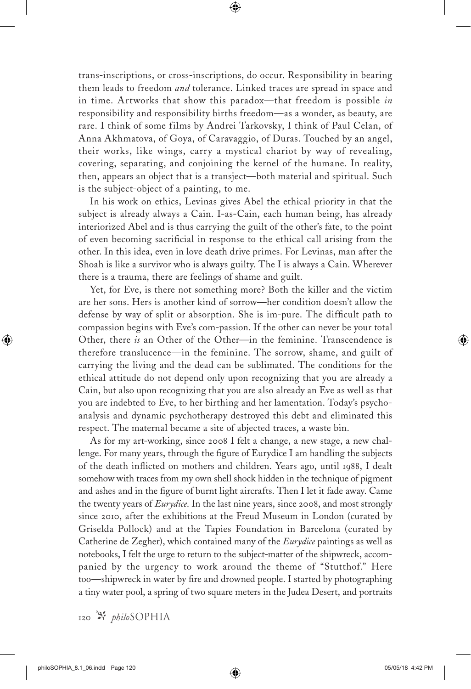trans-inscriptions, or cross-inscriptions, do occur. Responsibility in bearing them leads to freedom *and* tolerance. Linked traces are spread in space and in time. Artworks that show this paradox—that freedom is possible *in* responsibility and responsibility births freedom—as a wonder, as beauty, are rare. I think of some films by Andrei Tarkovsky, I think of Paul Celan, of Anna Akhmatova, of Goya, of Caravaggio, of Duras. Touched by an angel, their works, like wings, carry a mystical chariot by way of revealing, covering, separating, and conjoining the kernel of the humane. In reality, then, appears an object that is a transject—both material and spiritual. Such is the subject-object of a painting, to me.

In his work on ethics, Levinas gives Abel the ethical priority in that the subject is already always a Cain. I-as-Cain, each human being, has already interiorized Abel and is thus carrying the guilt of the other's fate, to the point of even becoming sacrificial in response to the ethical call arising from the other. In this idea, even in love death drive primes. For Levinas, man after the Shoah is like a survivor who is always guilty. The I is always a Cain. Wherever there is a trauma, there are feelings of shame and guilt.

Yet, for Eve, is there not something more? Both the killer and the victim are her sons. Hers is another kind of sorrow—her condition doesn't allow the defense by way of split or absorption. She is im-pure. The difficult path to compassion begins with Eve's com-passion. If the other can never be your total Other, there *is* an Other of the Other—in the feminine. Transcendence is therefore translucence—in the feminine. The sorrow, shame, and guilt of carrying the living and the dead can be sublimated. The conditions for the ethical attitude do not depend only upon recognizing that you are already a Cain, but also upon recognizing that you are also already an Eve as well as that you are indebted to Eve, to her birthing and her lamentation. Today's psychoanalysis and dynamic psychotherapy destroyed this debt and eliminated this respect. The maternal became a site of abjected traces, a waste bin.

As for my art-working, since 2008 I felt a change, a new stage, a new challenge. For many years, through the figure of Eurydice I am handling the subjects of the death inflicted on mothers and children. Years ago, until 1988, I dealt somehow with traces from my own shell shock hidden in the technique of pigment and ashes and in the figure of burnt light aircrafts. Then I let it fade away. Came the twenty years of *Eurydice*. In the last nine years, since 2008, and most strongly since 2010, after the exhibitions at the Freud Museum in London (curated by Griselda Pollock) and at the Tapies Foundation in Barcelona (curated by Catherine de Zegher), which contained many of the *Eurydice* paintings as well as notebooks, I felt the urge to return to the subject-matter of the shipwreck, accompanied by the urgency to work around the theme of "Stutthof." Here too—shipwreck in water by fire and drowned people. I started by photographing a tiny water pool, a spring of two square meters in the Judea Desert, and portraits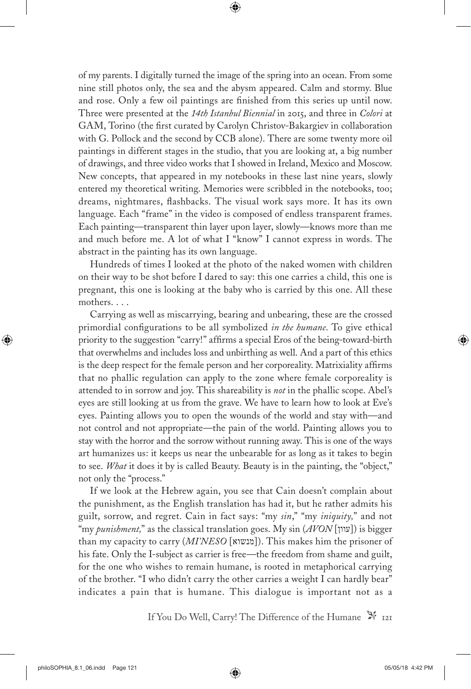of my parents. I digitally turned the image of the spring into an ocean. From some nine still photos only, the sea and the abysm appeared. Calm and stormy. Blue and rose. Only a few oil paintings are finished from this series up until now. Three were presented at the *14th Istanbul Biennial* in 2015, and three in *Colori* at GAM, Torino (the first curated by Carolyn Christov-Bakargiev in collaboration with G. Pollock and the second by CCB alone). There are some twenty more oil paintings in different stages in the studio, that you are looking at, a big number of drawings, and three video works that I showed in Ireland, Mexico and Moscow. New concepts, that appeared in my notebooks in these last nine years, slowly entered my theoretical writing. Memories were scribbled in the notebooks, too; dreams, nightmares, flashbacks. The visual work says more. It has its own language. Each "frame" in the video is composed of endless transparent frames. Each painting—transparent thin layer upon layer, slowly—knows more than me and much before me. A lot of what I "know" I cannot express in words. The abstract in the painting has its own language.

Hundreds of times I looked at the photo of the naked women with children on their way to be shot before I dared to say: this one carries a child, this one is pregnant, this one is looking at the baby who is carried by this one. All these mothers. . . .

Carrying as well as miscarrying, bearing and unbearing, these are the crossed primordial configurations to be all symbolized *in the humane*. To give ethical priority to the suggestion "carry!" affirms a special Eros of the being-toward-birth that overwhelms and includes loss and unbirthing as well. And a part of this ethics is the deep respect for the female person and her corporeality. Matrixiality affirms that no phallic regulation can apply to the zone where female corporeality is attended to in sorrow and joy. This shareability is *not* in the phallic scope. Abel's eyes are still looking at us from the grave. We have to learn how to look at Eve's eyes. Painting allows you to open the wounds of the world and stay with—and not control and not appropriate—the pain of the world. Painting allows you to stay with the horror and the sorrow without running away. This is one of the ways art humanizes us: it keeps us near the unbearable for as long as it takes to begin to see. *What* it does it by is called Beauty. Beauty is in the painting, the "object," not only the "process."

If we look at the Hebrew again, you see that Cain doesn't complain about the punishment, as the English translation has had it, but he rather admits his guilt, sorrow, and regret. Cain in fact says: "my *sin*," "my *iniquity,*" and not "my *punishment,*" as the classical translation goes. My sin (*AVON* [עוון ([is bigger than my capacity to carry (*MI'NESO* [מנשוא]). This makes him the prisoner of his fate. Only the I-subject as carrier is free—the freedom from shame and guilt, for the one who wishes to remain humane, is rooted in metaphorical carrying of the brother. "I who didn't carry the other carries a weight I can hardly bear" indicates a pain that is humane. This dialogue is important not as a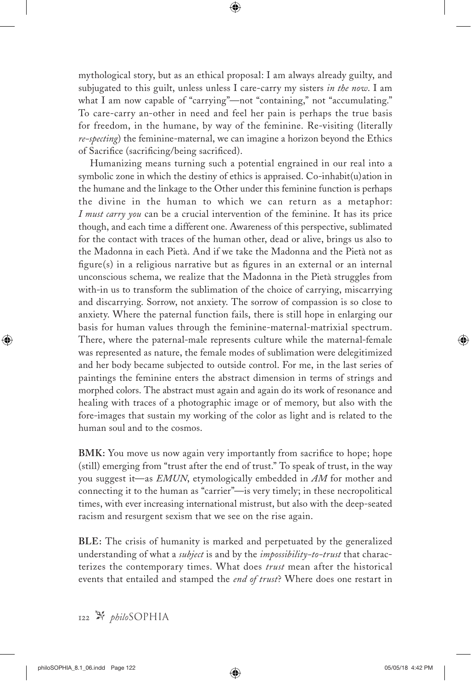mythological story, but as an ethical proposal: I am always already guilty, and subjugated to this guilt, unless unless I care-carry my sisters *in the now*. I am what I am now capable of "carrying"—not "containing," not "accumulating." To care-carry an-other in need and feel her pain is perhaps the true basis for freedom, in the humane, by way of the feminine. Re-visiting (literally *re-specting*) the feminine-maternal, we can imagine a horizon beyond the Ethics of Sacrifice (sacrificing/being sacrificed).

Humanizing means turning such a potential engrained in our real into a symbolic zone in which the destiny of ethics is appraised. Co-inhabit(u)ation in the humane and the linkage to the Other under this feminine function is perhaps the divine in the human to which we can return as a metaphor: *I must carry you* can be a crucial intervention of the feminine. It has its price though, and each time a different one. Awareness of this perspective, sublimated for the contact with traces of the human other, dead or alive, brings us also to the Madonna in each Pietà. And if we take the Madonna and the Pietà not as figure(s) in a religious narrative but as figures in an external or an internal unconscious schema, we realize that the Madonna in the Pietà struggles from with-in us to transform the sublimation of the choice of carrying, miscarrying and discarrying. Sorrow, not anxiety. The sorrow of compassion is so close to anxiety. Where the paternal function fails, there is still hope in enlarging our basis for human values through the feminine-maternal-matrixial spectrum. There, where the paternal-male represents culture while the maternal-female was represented as nature, the female modes of sublimation were delegitimized and her body became subjected to outside control. For me, in the last series of paintings the feminine enters the abstract dimension in terms of strings and morphed colors. The abstract must again and again do its work of resonance and healing with traces of a photographic image or of memory, but also with the fore-images that sustain my working of the color as light and is related to the human soul and to the cosmos.

**BMK:** You move us now again very importantly from sacrifice to hope; hope (still) emerging from "trust after the end of trust." To speak of trust, in the way you suggest it—as *EMUN*, etymologically embedded in *AM* for mother and connecting it to the human as "carrier"—is very timely; in these necropolitical times, with ever increasing international mistrust, but also with the deep-seated racism and resurgent sexism that we see on the rise again.

**BLE:** The crisis of humanity is marked and perpetuated by the generalized understanding of what a *subject* is and by the *impossibility-to-trust* that characterizes the contemporary times. What does *trust* mean after the historical events that entailed and stamped the *end of trust*? Where does one restart in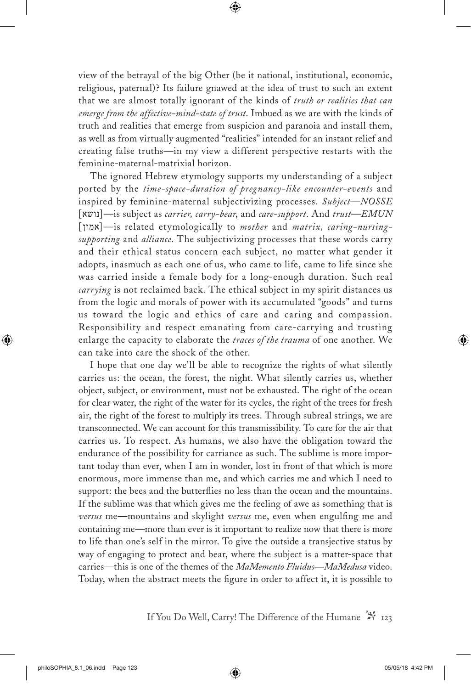view of the betrayal of the big Other (be it national, institutional, economic, religious, paternal)? Its failure gnawed at the idea of trust to such an extent that we are almost totally ignorant of the kinds of *truth or realities that can emerge from the affective-mind-state of trust*. Imbued as we are with the kinds of truth and realities that emerge from suspicion and paranoia and install them, as well as from virtually augmented "realities" intended for an instant relief and creating false truths—in my view a different perspective restarts with the feminine-maternal-matrixial horizon.

The ignored Hebrew etymology supports my understanding of a subject ported by the *time-space-duration of pregnancy-like encounter-events* and inspired by feminine-maternal subjectivizing processes. *Subject*—*NOSSE* [נושא—[is subject as *carrier, carry-bear*, and *care*-*support*. And *trust*—*EMUN* [אמון—[is related etymologically to *mother* and *matrix, caring-nursingsupporting* and *alliance*. The subjectivizing processes that these words carry and their ethical status concern each subject, no matter what gender it adopts, inasmuch as each one of us, who came to life, came to life since she was carried inside a female body for a long-enough duration. Such real *carrying* is not reclaimed back. The ethical subject in my spirit distances us from the logic and morals of power with its accumulated "goods" and turns us toward the logic and ethics of care and caring and compassion. Responsibility and respect emanating from care-carrying and trusting enlarge the capacity to elaborate the *traces of the trauma* of one another. We can take into care the shock of the other.

I hope that one day we'll be able to recognize the rights of what silently carries us: the ocean, the forest, the night. What silently carries us, whether object, subject, or environment, must not be exhausted. The right of the ocean for clear water, the right of the water for its cycles, the right of the trees for fresh air, the right of the forest to multiply its trees. Through subreal strings, we are transconnected. We can account for this transmissibility. To care for the air that carries us. To respect. As humans, we also have the obligation toward the endurance of the possibility for carriance as such. The sublime is more important today than ever, when I am in wonder, lost in front of that which is more enormous, more immense than me, and which carries me and which I need to support: the bees and the butterflies no less than the ocean and the mountains. If the sublime was that which gives me the feeling of awe as something that is *versus* me—mountains and skylight *versus* me, even when engulfing me and containing me—more than ever is it important to realize now that there is more to life than one's self in the mirror. To give the outside a transjective status by way of engaging to protect and bear, where the subject is a matter-space that carries—this is one of the themes of the *MaMemento Fluidus—MaMedusa* video. Today, when the abstract meets the figure in order to affect it, it is possible to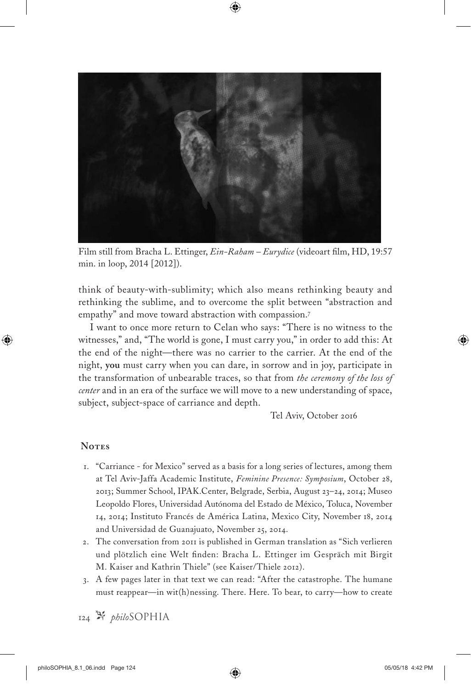

Film still from Bracha L. Ettinger, *Ein-Raham – Eurydice* (videoart film, HD, 19:57 min. in loop, 2014 [2012]).

think of beauty-with-sublimity; which also means rethinking beauty and rethinking the sublime, and to overcome the split between "abstraction and empathy" and move toward abstraction with compassion.<sup>7</sup>

I want to once more return to Celan who says: "There is no witness to the witnesses," and, "The world is gone, I must carry you," in order to add this: At the end of the night—there was no carrier to the carrier. At the end of the night, **you** must carry when you can dare, in sorrow and in joy, participate in the transformation of unbearable traces, so that from *the ceremony of the loss of center* and in an era of the surface we will move to a new understanding of space, subject, subject-space of carriance and depth.

Tel Aviv, October 2016

#### **Notes**

- 1. "Carriance for Mexico" served as a basis for a long series of lectures, among them at Tel Aviv-Jaffa Academic Institute, *Feminine Presence: Symposium*, October 28, 2013; Summer School, IPAK.Center, Belgrade, Serbia, August 23–24, 2014; Museo Leopoldo Flores, Universidad Autónoma del Estado de México, Toluca, November 14, 2014; Instituto Francés de América Latina, Mexico City, November 18, 2014 and Universidad de Guanajuato, November 25, 2014.
- 2. The conversation from 2011 is published in German translation as "Sich verlieren und plötzlich eine Welt finden: Bracha L. Ettinger im Gespräch mit Birgit M. Kaiser and Kathrin Thiele" (see Kaiser/Thiele 2012).
- 3. A few pages later in that text we can read: "After the catastrophe. The humane must reappear—in wit(h)nessing. There. Here. To bear, to carry—how to create